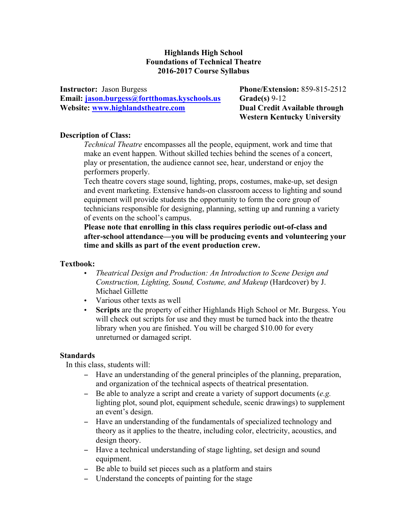## **Highlands High School Foundations of Technical Theatre 2016-2017 Course Syllabus**

**Instructor:** Jason Burgess **Phone/Extension:** 859-815-2512 **Email: jason.burgess@fortthomas.kyschools.us Grade(s)** 9-12 **Website: www.highlandstheatre.com Dual Credit Available through** 

 **Western Kentucky University**

## **Description of Class:**

*Technical Theatre* encompasses all the people, equipment, work and time that make an event happen. Without skilled techies behind the scenes of a concert, play or presentation, the audience cannot see, hear, understand or enjoy the performers properly.

Tech theatre covers stage sound, lighting, props, costumes, make-up, set design and event marketing. Extensive hands-on classroom access to lighting and sound equipment will provide students the opportunity to form the core group of technicians responsible for designing, planning, setting up and running a variety of events on the school's campus.

**Please note that enrolling in this class requires periodic out-of-class and after-school attendance—you will be producing events and volunteering your time and skills as part of the event production crew.**

#### **Textbook:**

- *Theatrical Design and Production: An Introduction to Scene Design and Construction, Lighting, Sound, Costume, and Makeup* (Hardcover) by J. Michael Gillette
- Various other texts as well
- **Scripts** are the property of either Highlands High School or Mr. Burgess. You will check out scripts for use and they must be turned back into the theatre library when you are finished. You will be charged \$10.00 for every unreturned or damaged script.

## **Standards**

In this class, students will:

- − Have an understanding of the general principles of the planning, preparation, and organization of the technical aspects of theatrical presentation.
- − Be able to analyze a script and create a variety of support documents (*e.g.*  lighting plot, sound plot, equipment schedule, scenic drawings) to supplement an event's design.
- − Have an understanding of the fundamentals of specialized technology and theory as it applies to the theatre, including color, electricity, acoustics, and design theory.
- − Have a technical understanding of stage lighting, set design and sound equipment.
- − Be able to build set pieces such as a platform and stairs
- − Understand the concepts of painting for the stage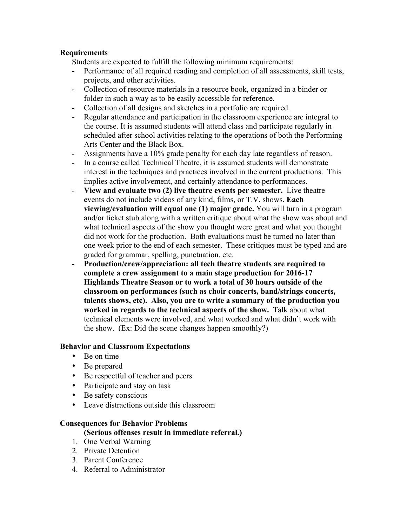## **Requirements**

Students are expected to fulfill the following minimum requirements:

- Performance of all required reading and completion of all assessments, skill tests, projects, and other activities.
- Collection of resource materials in a resource book, organized in a binder or folder in such a way as to be easily accessible for reference.
- Collection of all designs and sketches in a portfolio are required.
- Regular attendance and participation in the classroom experience are integral to the course. It is assumed students will attend class and participate regularly in scheduled after school activities relating to the operations of both the Performing Arts Center and the Black Box.
- Assignments have a 10% grade penalty for each day late regardless of reason.
- In a course called Technical Theatre, it is assumed students will demonstrate interest in the techniques and practices involved in the current productions. This implies active involvement, and certainly attendance to performances.
- **View and evaluate two (2) live theatre events per semester.** Live theatre events do not include videos of any kind, films, or T.V. shows. **Each viewing/evaluation will equal one (1) major grade.** You will turn in a program and/or ticket stub along with a written critique about what the show was about and what technical aspects of the show you thought were great and what you thought did not work for the production. Both evaluations must be turned no later than one week prior to the end of each semester. These critiques must be typed and are graded for grammar, spelling, punctuation, etc.
- **Production/crew/appreciation: all tech theatre students are required to complete a crew assignment to a main stage production for 2016-17 Highlands Theatre Season or to work a total of 30 hours outside of the classroom on performances (such as choir concerts, band/strings concerts, talents shows, etc). Also, you are to write a summary of the production you worked in regards to the technical aspects of the show.** Talk about what technical elements were involved, and what worked and what didn't work with the show. (Ex: Did the scene changes happen smoothly?)

## **Behavior and Classroom Expectations**

- Be on time
- Be prepared
- Be respectful of teacher and peers
- Participate and stay on task
- Be safety conscious
- Leave distractions outside this classroom

## **Consequences for Behavior Problems**

## **(Serious offenses result in immediate referral.)**

- 1. One Verbal Warning
- 2. Private Detention
- 3. Parent Conference
- 4. Referral to Administrator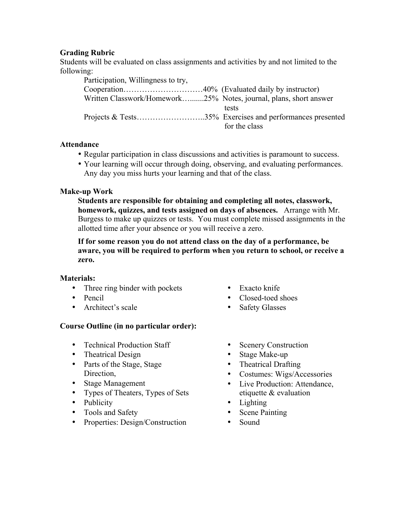# **Grading Rubric**

Students will be evaluated on class assignments and activities by and not limited to the following:

| Participation, Willingness to try,                                |               |
|-------------------------------------------------------------------|---------------|
|                                                                   |               |
| Written Classwork/Homework25% Notes, journal, plans, short answer |               |
|                                                                   | tests         |
|                                                                   |               |
|                                                                   | for the class |

## **Attendance**

- Regular participation in class discussions and activities is paramount to success.
- Your learning will occur through doing, observing, and evaluating performances. Any day you miss hurts your learning and that of the class.

#### **Make-up Work**

**Students are responsible for obtaining and completing all notes, classwork, homework, quizzes, and tests assigned on days of absences.** Arrange with Mr. Burgess to make up quizzes or tests. You must complete missed assignments in the allotted time after your absence or you will receive a zero.

**If for some reason you do not attend class on the day of a performance, be aware, you will be required to perform when you return to school, or receive a zero.** 

## **Materials:**

- Three ring binder with pockets
- Pencil
- Architect's scale

# **Course Outline (in no particular order):**

- Technical Production Staff
- Theatrical Design
- Parts of the Stage, Stage Direction,
- Stage Management
- Types of Theaters, Types of Sets
- Publicity
- Tools and Safety
- Properties: Design/Construction
- Exacto knife
- Closed-toed shoes
- Safety Glasses
- Scenery Construction
- Stage Make-up
- Theatrical Drafting
- Costumes: Wigs/Accessories
- Live Production: Attendance, etiquette & evaluation
- Lighting
- Scene Painting
- Sound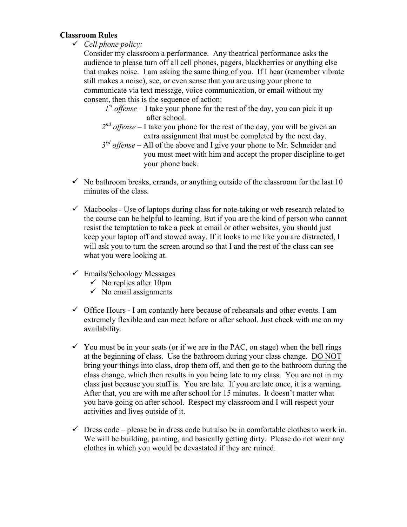## **Classroom Rules**

ü *Cell phone policy:*

Consider my classroom a performance. Any theatrical performance asks the audience to please turn off all cell phones, pagers, blackberries or anything else that makes noise. I am asking the same thing of you. If I hear (remember vibrate still makes a noise), see, or even sense that you are using your phone to communicate via text message, voice communication, or email without my consent, then this is the sequence of action:

- $I<sup>st</sup>$  *offense* I take your phone for the rest of the day, you can pick it up after school.
- *2nd offense* I take you phone for the rest of the day, you will be given an extra assignment that must be completed by the next day.
- *3rd offense* All of the above and I give your phone to Mr. Schneider and you must meet with him and accept the proper discipline to get your phone back.
- $\checkmark$  No bathroom breaks, errands, or anything outside of the classroom for the last 10 minutes of the class.
- $\checkmark$  Macbooks Use of laptops during class for note-taking or web research related to the course can be helpful to learning. But if you are the kind of person who cannot resist the temptation to take a peek at email or other websites, you should just keep your laptop off and stowed away. If it looks to me like you are distracted, I will ask you to turn the screen around so that I and the rest of the class can see what you were looking at.
- $\checkmark$  Emails/Schoology Messages
	- $\checkmark$  No replies after 10pm
	- $\checkmark$  No email assignments
- $\checkmark$  Office Hours I am contantly here because of rehearsals and other events. I am extremely flexible and can meet before or after school. Just check with me on my availability.
- $\checkmark$  You must be in your seats (or if we are in the PAC, on stage) when the bell rings at the beginning of class. Use the bathroom during your class change. DO NOT bring your things into class, drop them off, and then go to the bathroom during the class change, which then results in you being late to my class. You are not in my class just because you stuff is. You are late. If you are late once, it is a warning. After that, you are with me after school for 15 minutes. It doesn't matter what you have going on after school. Respect my classroom and I will respect your activities and lives outside of it.
- $\checkmark$  Dress code please be in dress code but also be in comfortable clothes to work in. We will be building, painting, and basically getting dirty. Please do not wear any clothes in which you would be devastated if they are ruined.